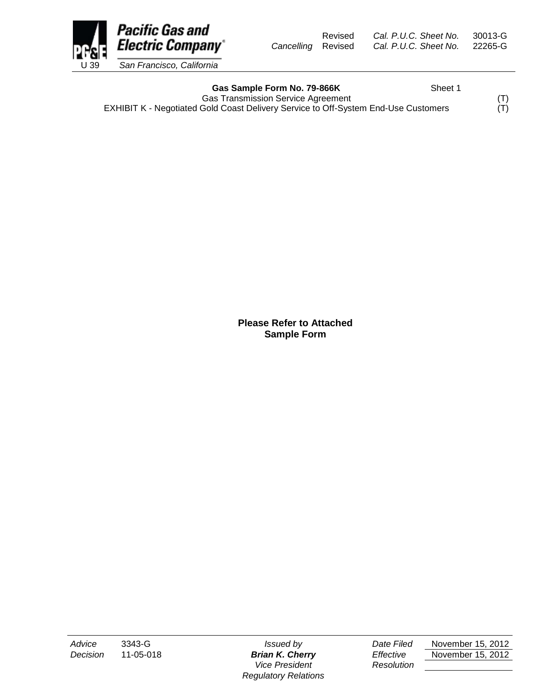Pacific Gas and **Electric Company**\* U 39 *San Francisco, California*

Revised *Cal. P.U.C. Sheet No.* 30013-G *Cancelling* Revised *Cal. P.U.C. Sheet No.* 22265-G

Gas Sample Form No. 79-866K Sheet 1

Gas Transmission Service Agreement<br>Gold Coast Delivery Service to Off-System End-Use Customers (T) EXHIBIT K - Negotiated Gold Coast Delivery Service to Off-System End-Use Customers

> **Please Refer to Attached Sample Form**

*Vice President Resolution Regulatory Relations*

*Advice* 3343-G *Issued by Date Filed* November 15, 2012 *Decision* 11-05-018 *Brian K. Cherry Effective* November 15, 2012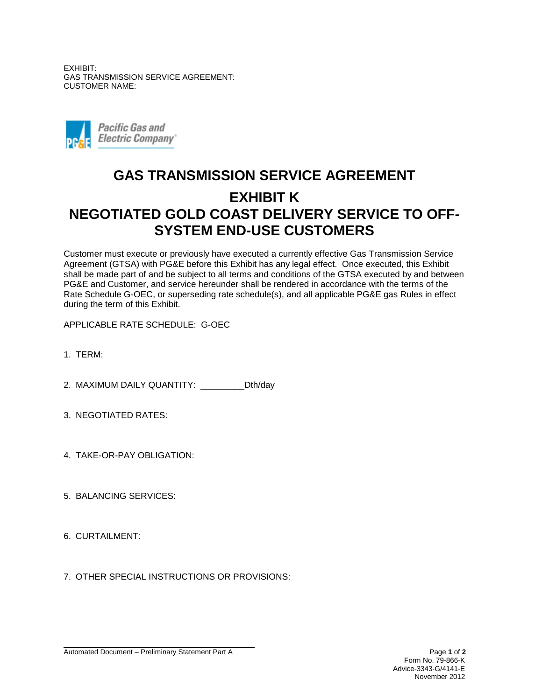EXHIBIT: GAS TRANSMISSION SERVICE AGREEMENT: CUSTOMER NAME:



## **GAS TRANSMISSION SERVICE AGREEMENT EXHIBIT K NEGOTIATED GOLD COAST DELIVERY SERVICE TO OFF-SYSTEM END-USE CUSTOMERS**

Customer must execute or previously have executed a currently effective Gas Transmission Service Agreement (GTSA) with PG&E before this Exhibit has any legal effect. Once executed, this Exhibit shall be made part of and be subject to all terms and conditions of the GTSA executed by and between PG&E and Customer, and service hereunder shall be rendered in accordance with the terms of the Rate Schedule G-OEC, or superseding rate schedule(s), and all applicable PG&E gas Rules in effect during the term of this Exhibit.

APPLICABLE RATE SCHEDULE: G-OEC

1. TERM:

2. MAXIMUM DAILY QUANTITY: \_\_\_\_\_\_\_\_\_Dth/day

- 3. NEGOTIATED RATES:
- 4. TAKE-OR-PAY OBLIGATION:
- 5. BALANCING SERVICES:
- 6. CURTAILMENT:
- 7. OTHER SPECIAL INSTRUCTIONS OR PROVISIONS: